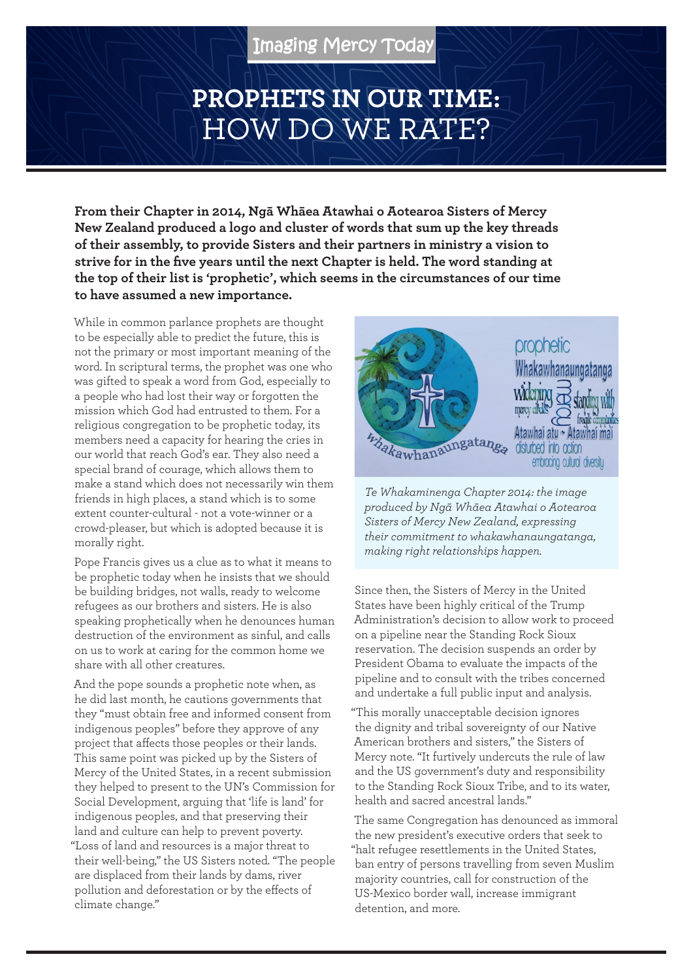## **PROPHETS IN OUR TIME:**  HOW DO WE RATE?

**From their Chapter in 2014, Ngā Whāea Atawhai o Aotearoa Sisters of Mercy New Zealand produced a logo and cluster of words that sum up the key threads of their assembly, to provide Sisters and their partners in ministry a vision to strive for in the five years until the next Chapter is held. The word standing at the top of their list is 'prophetic', which seems in the circumstances of our time to have assumed a new importance.**

While in common parlance prophets are thought to be especially able to predict the future, this is not the primary or most important meaning of the word. In scriptural terms, the prophet was one who was gifted to speak a word from God, especially to a people who had lost their way or forgotten the mission which God had entrusted to them. For a religious congregation to be prophetic today, its members need a capacity for hearing the cries in our world that reach God's ear. They also need a special brand of courage, which allows them to make a stand which does not necessarily win them friends in high places, a stand which is to some extent counter-cultural - not a vote-winner or a crowd-pleaser, but which is adopted because it is morally right.

Pope Francis gives us a clue as to what it means to be prophetic today when he insists that we should be building bridges, not walls, ready to welcome refugees as our brothers and sisters. He is also speaking prophetically when he denounces human destruction of the environment as sinful, and calls on us to work at caring for the common home we share with all other creatures.

And the pope sounds a prophetic note when, as he did last month, he cautions governments that they "must obtain free and informed consent from indigenous peoples" before they approve of any project that affects those peoples or their lands. This same point was picked up by the Sisters of Mercy of the United States, in a recent submission they helped to present to the UN's Commission for Social Development, arguing that 'life is land' for indigenous peoples, and that preserving their land and culture can help to prevent poverty. "Loss of land and resources is a major threat to their well-being," the US Sisters noted. "The people are displaced from their lands by dams, river pollution and deforestation or by the effects of climate change."



*Te Whakaminenga Chapter 2014: the image produced by Ngā Whāea Atawhai o Aotearoa Sisters of Mercy New Zealand, expressing their commitment to whakawhanaungatanga, making right relationships happen.*

Since then, the Sisters of Mercy in the United States have been highly critical of the Trump Administration's decision to allow work to proceed on a pipeline near the Standing Rock Sioux reservation. The decision suspends an order by President Obama to evaluate the impacts of the pipeline and to consult with the tribes concerned and undertake a full public input and analysis.

"This morally unacceptable decision ignores the dignity and tribal sovereignty of our Native American brothers and sisters," the Sisters of Mercy note. "It furtively undercuts the rule of law and the US government's duty and responsibility to the Standing Rock Sioux Tribe, and to its water, health and sacred ancestral lands."

The same Congregation has denounced as immoral the new president's executive orders that seek to "halt refugee resettlements in the United States, ban entry of persons travelling from seven Muslim majority countries, call for construction of the US-Mexico border wall, increase immigrant detention, and more.